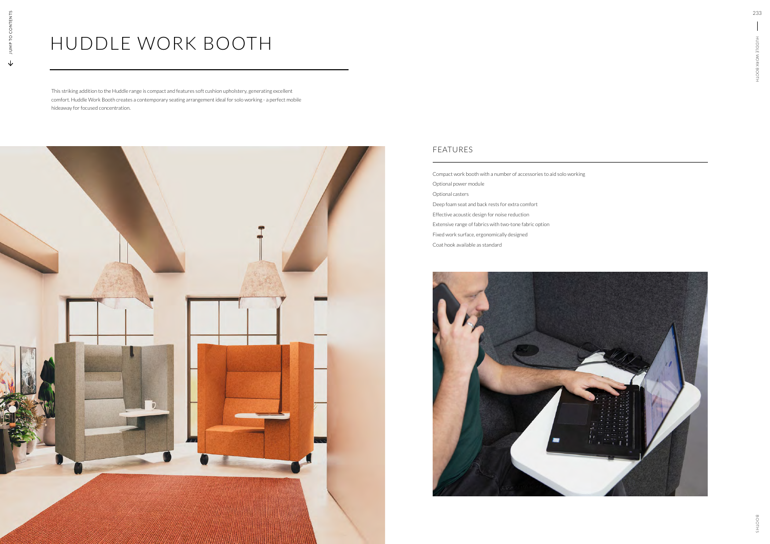## HUDDLE WORK BOOTH

This striking addition to the Huddle range is compact and features soft cushion upholstery, generating excellent comfort. Huddle Work Booth creates a contemporary seating arrangement ideal for solo working - a perfect mobile hideaway for focused concentration.



Compact work booth with a number of accessories to aid solo working Optional power module Optional casters Deep foam seat and back rests for extra comfort Effective acoustic design for noise reduction Extensive range of fabrics with two-tone fabric option Fixed work surface, ergonomically designed Coat hook available as standard



## FEATURES